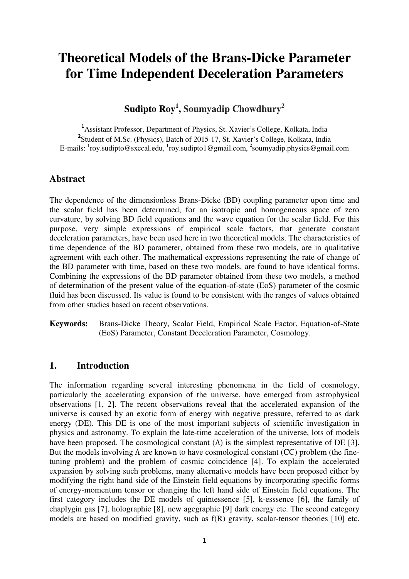# **Theoretical Models of the Brans-Dicke Parameter for Time Independent Deceleration Parameters**

## **Sudipto Roy<sup>1</sup> , Soumyadip Chowdhury<sup>2</sup>**

**<sup>1</sup>**Assistant Professor, Department of Physics, St. Xavier's College, Kolkata, India <sup>2</sup> Student of M.Sc. (Physics), Batch of 2015-17, St. Xavier's College, Kolkata, India E-mails: <sup>1</sup>[roy.sudipto@sxccal.edu,](mailto:roy.sudipto1@gmail.com) <sup>1</sup>roy.sudipto1@gmail.com, <sup>2</sup>soumyadip.physics@gmail.com

### **Abstract**

The dependence of the dimensionless Brans-Dicke (BD) coupling parameter upon time and the scalar field has been determined, for an isotropic and homogeneous space of zero curvature, by solving BD field equations and the wave equation for the scalar field. For this purpose, very simple expressions of empirical scale factors, that generate constant deceleration parameters, have been used here in two theoretical models. The characteristics of time dependence of the BD parameter, obtained from these two models, are in qualitative agreement with each other. The mathematical expressions representing the rate of change of the BD parameter with time, based on these two models, are found to have identical forms. Combining the expressions of the BD parameter obtained from these two models, a method of determination of the present value of the equation-of-state (EoS) parameter of the cosmic fluid has been discussed. Its value is found to be consistent with the ranges of values obtained from other studies based on recent observations.

**Keywords:** Brans-Dicke Theory, Scalar Field, Empirical Scale Factor, Equation-of-State (EoS) Parameter, Constant Deceleration Parameter, Cosmology.

#### **1. Introduction**

The information regarding several interesting phenomena in the field of cosmology, particularly the accelerating expansion of the universe, have emerged from astrophysical observations [1, 2]. The recent observations reveal that the accelerated expansion of the universe is caused by an exotic form of energy with negative pressure, referred to as dark energy (DE). This DE is one of the most important subjects of scientific investigation in physics and astronomy. To explain the late-time acceleration of the universe, lots of models have been proposed. The cosmological constant  $(Λ)$  is the simplest representative of DE [3]. But the models involving Λ are known to have cosmological constant (CC) problem (the finetuning problem) and the problem of cosmic coincidence [4]. To explain the accelerated expansion by solving such problems, many alternative models have been proposed either by modifying the right hand side of the Einstein field equations by incorporating specific forms of energy-momentum tensor or changing the left hand side of Einstein field equations. The first category includes the DE models of quintessence [5], k-esssence [6], the family of chaplygin gas [7], holographic [8], new agegraphic [9] dark energy etc. The second category models are based on modified gravity, such as f(R) gravity, scalar-tensor theories [10] etc.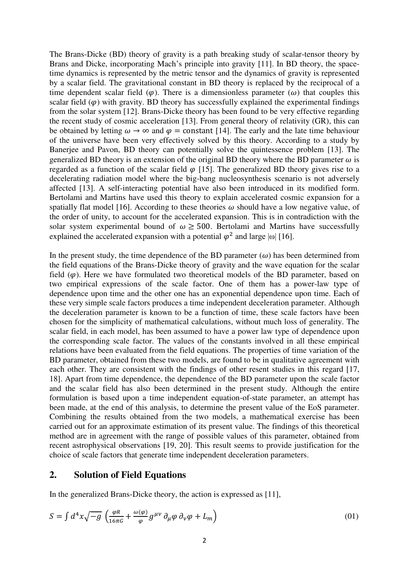The Brans-Dicke (BD) theory of gravity is a path breaking study of scalar-tensor theory by Brans and Dicke, incorporating Mach's principle into gravity [11]. In BD theory, the spacetime dynamics is represented by the metric tensor and the dynamics of gravity is represented by a scalar field. The gravitational constant in BD theory is replaced by the reciprocal of a time dependent scalar field ( $\varphi$ ). There is a dimensionless parameter ( $\omega$ ) that couples this scalar field  $(\varphi)$  with gravity. BD theory has successfully explained the experimental findings from the solar system [12]. Brans-Dicke theory has been found to be very effective regarding the recent study of cosmic acceleration [13]. From general theory of relativity (GR), this can be obtained by letting  $\omega \to \infty$  and  $\varphi =$  constant [14]. The early and the late time behaviour of the universe have been very effectively solved by this theory. According to a study by Banerjee and Pavon, BD theory can potentially solve the quintessence problem [13]. The generalized BD theory is an extension of the original BD theory where the BD parameter  $\omega$  is regarded as a function of the scalar field  $\varphi$  [15]. The generalized BD theory gives rise to a decelerating radiation model where the big-bang nucleosynthesis scenario is not adversely affected [13]. A self-interacting potential have also been introduced in its modified form. Bertolami and Martins have used this theory to explain accelerated cosmic expansion for a spatially flat model [16]. According to these theories  $\omega$  should have a low negative value, of the order of unity, to account for the accelerated expansion. This is in contradiction with the solar system experimental bound of  $\omega \geq 500$ . Bertolami and Martins have successfully explained the accelerated expansion with a potential  $\varphi^2$  and large  $|\omega|$  [16].

In the present study, the time dependence of the BD parameter  $(\omega)$  has been determined from the field equations of the Brans-Dicke theory of gravity and the wave equation for the scalar field  $(\varphi)$ . Here we have formulated two theoretical models of the BD parameter, based on two empirical expressions of the scale factor. One of them has a power-law type of dependence upon time and the other one has an exponential dependence upon time. Each of these very simple scale factors produces a time independent deceleration parameter. Although the deceleration parameter is known to be a function of time, these scale factors have been chosen for the simplicity of mathematical calculations, without much loss of generality. The scalar field, in each model, has been assumed to have a power law type of dependence upon the corresponding scale factor. The values of the constants involved in all these empirical relations have been evaluated from the field equations. The properties of time variation of the BD parameter, obtained from these two models, are found to be in qualitative agreement with each other. They are consistent with the findings of other resent studies in this regard [17, 18]. Apart from time dependence, the dependence of the BD parameter upon the scale factor and the scalar field has also been determined in the present study. Although the entire formulation is based upon a time independent equation-of-state parameter, an attempt has been made, at the end of this analysis, to determine the present value of the EoS parameter. Combining the results obtained from the two models, a mathematical exercise has been carried out for an approximate estimation of its present value. The findings of this theoretical method are in agreement with the range of possible values of this parameter, obtained from recent astrophysical observations [19, 20]. This result seems to provide justification for the choice of scale factors that generate time independent deceleration parameters.

#### **2. Solution of Field Equations**

In the generalized Brans-Dicke theory, the action is expressed as [11],

$$
S = \int d^4x \sqrt{-g} \left( \frac{\varphi R}{16\pi G} + \frac{\omega(\varphi)}{\varphi} g^{\mu\nu} \partial_\mu \varphi \partial_\nu \varphi + L_m \right) \tag{01}
$$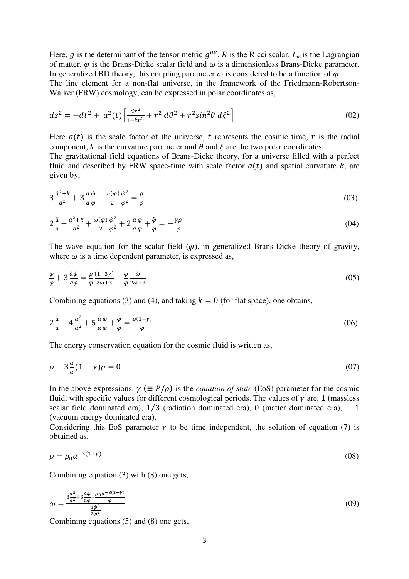Here, g is the determinant of the tensor metric  $g^{\mu\nu}$ , R is the Ricci scalar,  $L_m$  is the Lagrangian of matter,  $\varphi$  is the Brans-Dicke scalar field and  $\omega$  is a dimensionless Brans-Dicke parameter. In generalized BD theory, this coupling parameter  $\omega$  is considered to be a function of  $\omega$ . The line element for a non-flat universe, in the framework of the Friedmann-Robertson-Walker (FRW) cosmology, can be expressed in polar coordinates as,

$$
ds^{2} = -dt^{2} + a^{2}(t) \left[ \frac{dr^{2}}{1 - kr^{2}} + r^{2} d\theta^{2} + r^{2} sin^{2}\theta d\xi^{2} \right]
$$
 (02)

Here  $a(t)$  is the scale factor of the universe, t represents the cosmic time, r is the radial component, k is the curvature parameter and  $\theta$  and  $\xi$  are the two polar coordinates.

The gravitational field equations of Brans-Dicke theory, for a universe filled with a perfect fluid and described by FRW space-time with scale factor  $a(t)$  and spatial curvature k, are given by,

$$
3\frac{a^2+k}{a^2} + 3\frac{a\,\varphi}{a\,\varphi} - \frac{\omega(\varphi)}{2}\frac{\varphi^2}{\varphi^2} = \frac{\rho}{\varphi}
$$
\n
$$
(03)
$$

$$
2\frac{\ddot{a}}{a} + \frac{\dot{a}^2 + k}{a^2} + \frac{\omega(\varphi)}{2}\frac{\dot{\varphi}^2}{\varphi^2} + 2\frac{\dot{a}}{a}\frac{\dot{\varphi}}{\varphi} + \frac{\ddot{\varphi}}{\varphi} = -\frac{\gamma\rho}{\varphi}
$$
\n
$$
(04)
$$

The wave equation for the scalar field  $(\varphi)$ , in generalized Brans-Dicke theory of gravity, where  $\omega$  is a time dependent parameter, is expressed as,

$$
\frac{\ddot{\varphi}}{\varphi} + 3 \frac{\dot{a}\dot{\varphi}}{a\varphi} = \frac{\rho}{\varphi} \frac{(1-3\gamma)}{2\omega+3} - \frac{\dot{\varphi}}{\varphi} \frac{\dot{\omega}}{2\omega+3}
$$
(05)

Combining equations (3) and (4), and taking  $k = 0$  (for flat space), one obtains,

$$
2\frac{\ddot{a}}{a} + 4\frac{\dot{a}^2}{a^2} + 5\frac{\dot{a}}{a}\frac{\dot{\varphi}}{\varphi} + \frac{\ddot{\varphi}}{\varphi} = \frac{\rho(1-\gamma)}{\varphi}
$$
\n
$$
(06)
$$

The energy conservation equation for the cosmic fluid is written as,

$$
\dot{\rho} + 3\frac{a}{a}(1+\gamma)\rho = 0\tag{07}
$$

In the above expressions,  $\gamma$  ( $\equiv P/\rho$ ) is the *equation of state* (EoS) parameter for the cosmic fluid, with specific values for different cosmological periods. The values of  $\gamma$  are, 1 (massless scalar field dominated era),  $1/3$  (radiation dominated era),  $0$  (matter dominated era),  $-1$ (vacuum energy dominated era).

Considering this EoS parameter  $\gamma$  to be time independent, the solution of equation (7) is obtained as,

$$
\rho = \rho_0 a^{-3(1+\gamma)} \tag{08}
$$

Combining equation (3) with (8) one gets,

$$
\omega = \frac{3\frac{a^2}{a^2} + 3\frac{a\varphi}{a\varphi} - \frac{\rho_0 a^{-3(1+\gamma)}}{\varphi}}{\frac{1\varphi^2}{2\varphi^2}}
$$
(09)

Combining equations (5) and (8) one gets,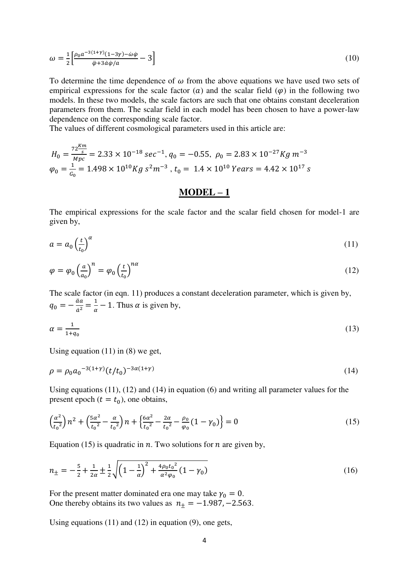$$
\omega = \frac{1}{2} \left[ \frac{\rho_0 a^{-3(1+\gamma)} (1-3\gamma) - \dot{\omega}\dot{\varphi}}{\ddot{\varphi} + 3\dot{a}\dot{\varphi}/a} - 3 \right]
$$
\n
$$
\tag{10}
$$

To determine the time dependence of  $\omega$  from the above equations we have used two sets of empirical expressions for the scale factor (a) and the scalar field ( $\varphi$ ) in the following two models. In these two models, the scale factors are such that one obtains constant deceleration parameters from them. The scalar field in each model has been chosen to have a power-law dependence on the corresponding scale factor.

The values of different cosmological parameters used in this article are:

$$
H_0 = \frac{72 \frac{Km}{s}}{Mpc} = 2.33 \times 10^{-18} \text{ sec}^{-1}, q_0 = -0.55, \ \rho_0 = 2.83 \times 10^{-27} \text{Kg} \ m^{-3}
$$
\n
$$
\varphi_0 = \frac{1}{c_0} = 1.498 \times 10^{10} \text{Kg} \ s^2 m^{-3}, \ t_0 = 1.4 \times 10^{10} \text{ Years} = 4.42 \times 10^{17} \text{ s}
$$

#### **MODEL – 1**

The empirical expressions for the scale factor and the scalar field chosen for model-1 are given by,

$$
a = a_0 \left(\frac{t}{t_0}\right)^{\alpha} \tag{11}
$$

$$
\varphi = \varphi_0 \left(\frac{a}{a_0}\right)^n = \varphi_0 \left(\frac{t}{t_0}\right)^{n\alpha} \tag{12}
$$

The scale factor (in eqn. 11) produces a constant deceleration parameter, which is given by,  $q_0 = -\frac{aa}{a^2}$  $rac{aa}{a^2} = \frac{1}{a}$  $\frac{1}{\alpha}$  – 1. Thus  $\alpha$  is given by,

$$
\alpha = \frac{1}{1 + q_0} \tag{13}
$$

Using equation  $(11)$  in  $(8)$  we get,

$$
\rho = \rho_0 a_0^{-3(1+\gamma)} (t/t_0)^{-3\alpha(1+\gamma)}
$$
\n(14)

Using equations (11), (12) and (14) in equation (6) and writing all parameter values for the present epoch ( $t = t_0$ ), one obtains,

$$
\left(\frac{\alpha^2}{t_0^2}\right)n^2 + \left(\frac{5\alpha^2}{t_0^2} - \frac{\alpha}{t_0^2}\right)n + \left\{\frac{6\alpha^2}{t_0^2} - \frac{2\alpha}{t_0^2} - \frac{\rho_0}{\varphi_0}\left(1 - \gamma_0\right)\right\} = 0\tag{15}
$$

Equation (15) is quadratic in  $n$ . Two solutions for  $n$  are given by,

$$
n_{\pm} = -\frac{5}{2} + \frac{1}{2\alpha} \pm \frac{1}{2} \sqrt{\left(1 - \frac{1}{\alpha}\right)^2 + \frac{4\rho_0 t_0^2}{\alpha^2 \varphi_0} \left(1 - \gamma_0\right)}\tag{16}
$$

For the present matter dominated era one may take  $\gamma_0 = 0$ . One thereby obtains its two values as  $n_{\pm} = -1.987, -2.563$ .

Using equations  $(11)$  and  $(12)$  in equation  $(9)$ , one gets,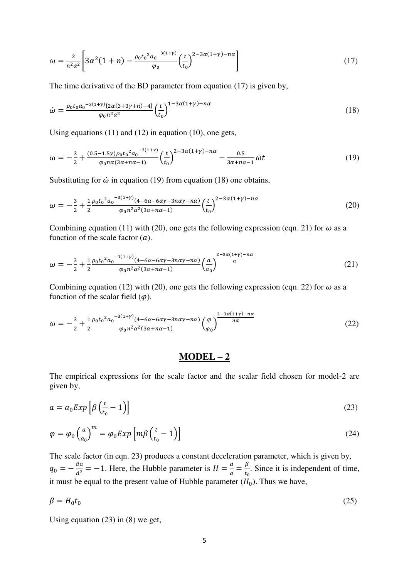$$
\omega = \frac{2}{n^2 \alpha^2} \left[ 3\alpha^2 (1+n) - \frac{\rho_0 t_0^2 a_0^{-3(1+\gamma)}}{\varphi_0} \left(\frac{t}{t_0}\right)^{2-3\alpha(1+\gamma)-n\alpha} \right] \tag{17}
$$

The time derivative of the BD parameter from equation (17) is given by,

$$
\dot{\omega} = \frac{\rho_0 t_0 a_0^{-3(1+\gamma)} \{2\alpha(3+3\gamma+n)-4\}}{\varphi_0 n^2 \alpha^2} \left(\frac{t}{t_0}\right)^{1-3\alpha(1+\gamma)-n\alpha} \tag{18}
$$

Using equations (11) and (12) in equation (10), one gets,

$$
\omega = -\frac{3}{2} + \frac{(0.5 - 1.5\gamma)\rho_0 t_0^2 a_0^{-3(1+\gamma)}}{\varphi_0 n a (3\alpha + n\alpha - 1)} \left(\frac{t}{t_0}\right)^{2 - 3\alpha (1+\gamma) - n\alpha} - \frac{0.5}{3\alpha + n\alpha - 1} \dot{\omega} t \tag{19}
$$

Substituting for  $\dot{\omega}$  in equation (19) from equation (18) one obtains,

$$
\omega = -\frac{3}{2} + \frac{1}{2} \frac{\rho_0 t_0^2 a_0^{-3(1+\gamma)} (4 - 6\alpha - 6\alpha\gamma - 3n\alpha\gamma - n\alpha)}{\rho_0 n^2 \alpha^2 (3\alpha + n\alpha - 1)} \left(\frac{t}{t_0}\right)^{2 - 3\alpha (1+\gamma) - n\alpha} \tag{20}
$$

Combining equation (11) with (20), one gets the following expression (eqn. 21) for  $\omega$  as a function of the scale factor  $(a)$ .

$$
\omega = -\frac{3}{2} + \frac{1}{2} \frac{\rho_0 t_0^2 a_0^{-3(1+\gamma)} (4 - 6\alpha - 6\alpha\gamma - 3n\alpha\gamma - n\alpha)}{\rho_0 n^2 \alpha^2 (3\alpha + n\alpha - 1)} \left(\frac{a}{a_0}\right)^{\frac{2 - 3\alpha(1+\gamma) - n\alpha}{\alpha}}
$$
(21)

Combining equation (12) with (20), one gets the following expression (eqn. 22) for  $\omega$  as a function of the scalar field  $(\varphi)$ .

$$
\omega = -\frac{3}{2} + \frac{1}{2} \frac{\rho_0 t_0^2 a_0^{-3(1+\gamma)} (4 - 6\alpha - 6\alpha\gamma - 3n\alpha\gamma - n\alpha)}{\rho_0 n^2 \alpha^2 (3\alpha + n\alpha - 1)} \left(\frac{\varphi}{\varphi_0}\right)^{\frac{2 - 3\alpha(1+\gamma) - n\alpha}{n\alpha}}
$$
(22)

#### **MODEL – 2**

The empirical expressions for the scale factor and the scalar field chosen for model-2 are given by,

$$
a = a_0 Exp \left[ \beta \left( \frac{t}{t_0} - 1 \right) \right] \tag{23}
$$

$$
\varphi = \varphi_0 \left(\frac{a}{a_0}\right)^m = \varphi_0 Exp \left[m\beta \left(\frac{t}{t_0} - 1\right)\right]
$$
\n(24)

The scale factor (in eqn. 23) produces a constant deceleration parameter, which is given by,  $q_0 = -\frac{\ddot{a}a}{\dot{a}^2}$  $\frac{\ddot{a}a}{\dot{a}^2} = -1$ . Here, the Hubble parameter is  $H = \frac{\dot{a}}{a} = \frac{\beta}{t_0}$  $\frac{p}{t_0}$ . Since it is independent of time, it must be equal to the present value of Hubble parameter  $(H_0)$ . Thus we have,

$$
\beta = H_0 t_0 \tag{25}
$$

Using equation  $(23)$  in  $(8)$  we get,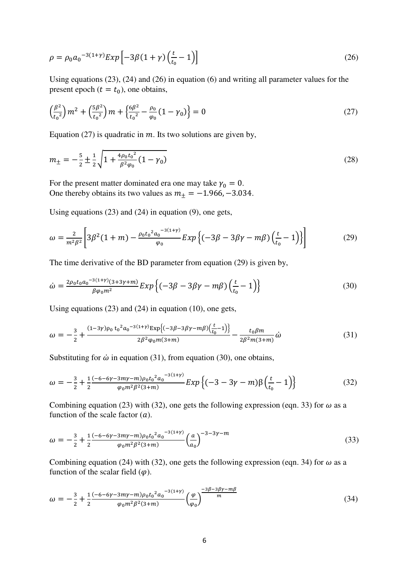$$
\rho = \rho_0 a_0^{-3(1+\gamma)} Exp \left[ -3\beta (1+\gamma) \left( \frac{t}{t_0} - 1 \right) \right]
$$
\n(26)

Using equations (23), (24) and (26) in equation (6) and writing all parameter values for the present epoch ( $t = t_0$ ), one obtains,

$$
\left(\frac{\beta^2}{t_0^2}\right)m^2 + \left(\frac{5\beta^2}{t_0^2}\right)m + \left\{\frac{6\beta^2}{t_0^2} - \frac{\rho_0}{\varphi_0}(1-\gamma_0)\right\} = 0\tag{27}
$$

Equation (27) is quadratic in  $m$ . Its two solutions are given by,

$$
m_{\pm} = -\frac{5}{2} \pm \frac{1}{2} \sqrt{1 + \frac{4\rho_0 t_0^2}{\beta^2 \varphi_0} (1 - \gamma_0)}
$$
(28)

For the present matter dominated era one may take  $\gamma_0 = 0$ . One thereby obtains its two values as  $m_{\pm} = -1.966, -3.034$ .

Using equations (23) and (24) in equation (9), one gets,

$$
\omega = \frac{2}{m^2 \beta^2} \left[ 3\beta^2 (1+m) - \frac{\rho_0 t_0^2 a_0^{-3(1+\gamma)}}{\varphi_0} E x p \left\{ (-3\beta - 3\beta \gamma - m\beta) \left( \frac{t}{t_0} - 1 \right) \right\} \right] \tag{29}
$$

The time derivative of the BD parameter from equation (29) is given by,

$$
\dot{\omega} = \frac{2\rho_0 t_0 a_0^{-3(1+\gamma)} (3+3\gamma+m)}{\beta \varphi_0 m^2} E x p \left\{ (-3\beta - 3\beta\gamma - m\beta) \left( \frac{t}{t_0} - 1 \right) \right\} \tag{30}
$$

Using equations (23) and (24) in equation (10), one gets,

$$
\omega = -\frac{3}{2} + \frac{(1-3\gamma)\rho_0 t_0^2 a_0^{-3(1+\gamma)} \exp\left\{(-3\beta - 3\beta\gamma - m\beta)\left(\frac{t}{t_0} - 1\right)\right\}}{2\beta^2 \varphi_0 m(3+m)} - \frac{t_0 \beta m}{2\beta^2 m(3+m)} \dot{\omega}
$$
(31)

Substituting for  $\dot{\omega}$  in equation (31), from equation (30), one obtains,

$$
\omega = -\frac{3}{2} + \frac{1}{2} \frac{(-6 - 6\gamma - 3m\gamma - m)\rho_0 t_0^2 a_0^{-3(1+\gamma)}}{\rho_0 m^2 \beta^2 (3+m)} Exp\left\{(-3 - 3\gamma - m)\beta \left(\frac{t}{t_0} - 1\right)\right\}
$$
(32)

Combining equation (23) with (32), one gets the following expression (eqn. 33) for  $\omega$  as a function of the scale factor  $(a)$ .

$$
\omega = -\frac{3}{2} + \frac{1}{2} \frac{(-6 - 6\gamma - 3m\gamma - m)\rho_0 t_0^2 a_0^{-3(1+\gamma)}}{\varphi_0 m^2 \beta^2 (3+m)} \left(\frac{a}{a_0}\right)^{-3-3\gamma - m} \tag{33}
$$

Combining equation (24) with (32), one gets the following expression (eqn. 34) for  $\omega$  as a function of the scalar field  $(\varphi)$ .

$$
\omega = -\frac{3}{2} + \frac{1}{2} \frac{(-6 - 6\gamma - 3m\gamma - m)\rho_0 t_0^2 a_0^{-3(1+\gamma)}}{\varphi_0 m^2 \beta^2 (3+m)} \left(\frac{\varphi}{\varphi_0}\right)^{\frac{-3\beta - 3\beta\gamma - m\beta}{m}}
$$
(34)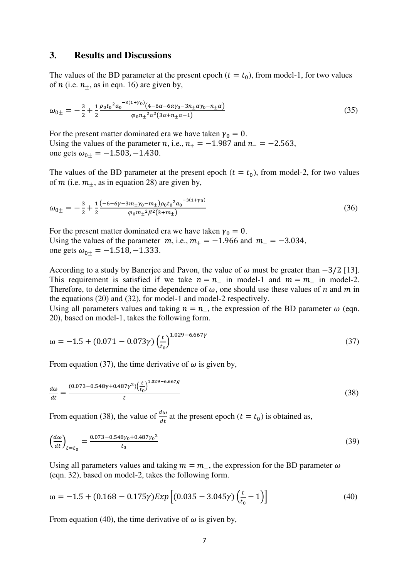#### **3. Results and Discussions**

The values of the BD parameter at the present epoch ( $t = t_0$ ), from model-1, for two values of *n* (i.e.  $n_{+}$ , as in eqn. 16) are given by,

$$
\omega_{0\pm} = -\frac{3}{2} + \frac{1}{2} \frac{\rho_0 t_0^2 a_0^{-3(1+\gamma_0)} (4 - 6\alpha - 6\alpha \gamma_0 - 3n_\pm \alpha \gamma_0 - n_\pm \alpha)}{\varphi_0 n_\pm^2 \alpha^2 (3\alpha + n_\pm \alpha - 1)}
$$
(35)

For the present matter dominated era we have taken  $\gamma_0 = 0$ . Using the values of the parameter *n*, i.e.,  $n_{+} = -1.987$  and  $n_{-} = -2.563$ , one gets  $\omega_{0\pm} = -1.503, -1.430$ .

The values of the BD parameter at the present epoch ( $t = t_0$ ), from model-2, for two values of *m* (i.e.  $m_{\pm}$ , as in equation 28) are given by,

$$
\omega_{0\pm} = -\frac{3}{2} + \frac{1}{2} \frac{(-6 - 6\gamma - 3m_{\pm}\gamma_0 - m_{\pm})\rho_0 t_0^2 a_0^{-3(1+\gamma_0)}}{\varphi_0 m_{\pm}^2 \beta^2 (3+m_{\pm})}
$$
(36)

For the present matter dominated era we have taken  $\gamma_0 = 0$ . Using the values of the parameter  $m$ , i.e.,  $m_{+} = -1.966$  and  $m_{-} = -3.034$ , one gets  $\omega_{0\pm} = -1.518, -1.333$ .

According to a study by Banerjee and Pavon, the value of  $\omega$  must be greater than  $-3/2$  [13]. This requirement is satisfied if we take  $n = n_-\,$  in model-1 and  $m = m_-\,$  in model-2. Therefore, to determine the time dependence of  $\omega$ , one should use these values of *n* and *m* in the equations (20) and (32), for model-1 and model-2 respectively.

Using all parameters values and taking  $n = n_+$ , the expression of the BD parameter  $\omega$  (eqn. 20), based on model-1, takes the following form.

$$
\omega = -1.5 + (0.071 - 0.073\gamma) \left(\frac{t}{t_0}\right)^{1.029 - 6.667\gamma} \tag{37}
$$

From equation (37), the time derivative of  $\omega$  is given by,

$$
\frac{d\omega}{dt} = \frac{(0.073 - 0.548\gamma + 0.487\gamma^2) \left(\frac{t}{t_0}\right)^{1.029 - 6.667g}}{t}
$$
\n(38)

From equation (38), the value of  $\frac{d\omega}{dt}$  at the present epoch ( $t = t_0$ ) is obtained as,

$$
\left(\frac{d\omega}{dt}\right)_{t=t_0} = \frac{0.073 - 0.548\gamma_0 + 0.487\gamma_0^2}{t_0} \tag{39}
$$

Using all parameters values and taking  $m = m_$ , the expression for the BD parameter  $\omega$ (eqn. 32), based on model-2, takes the following form.

$$
\omega = -1.5 + (0.168 - 0.175\gamma) \exp\left[ (0.035 - 3.045\gamma) \left( \frac{t}{t_0} - 1 \right) \right]
$$
(40)

From equation (40), the time derivative of  $\omega$  is given by,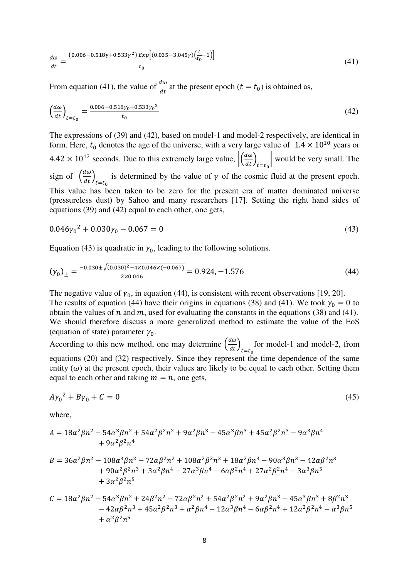$$
\frac{d\omega}{dt} = \frac{(0.006 - 0.518\gamma + 0.533\gamma^2) \exp[(0.035 - 3.045\gamma)\left(\frac{t}{t_0} - 1\right)]}{t_0} \tag{41}
$$

From equation (41), the value of  $\frac{d\omega}{dt}$  at the present epoch ( $t = t_0$ ) is obtained as,

$$
\left(\frac{d\omega}{dt}\right)_{t=t_0} = \frac{0.006 - 0.518\gamma_0 + 0.533\gamma_0^2}{t_0} \tag{42}
$$

The expressions of (39) and (42), based on model-1 and model-2 respectively, are identical in form. Here,  $t_0$  denotes the age of the universe, with a very large value of  $1.4 \times 10^{10}$  years or  $4.42 \times 10^{17}$  seconds. Due to this extremely large value,  $\left| \left( \frac{d\omega}{dt} \right)_{t=t_0} \right|$  would be very small. The sign of  $\left(\frac{d\omega}{dt}\right)_{t=t_0}$  is determined by the value of  $\gamma$  of the cosmic fluid at the present epoch. This value has been taken to be zero for the present era of matter dominated universe (pressureless dust) by Sahoo and many researchers [17]. Setting the right hand sides of equations (39) and (42) equal to each other, one gets,

$$
0.046\gamma_0^2 + 0.030\gamma_0 - 0.067 = 0\tag{43}
$$

Equation (43) is quadratic in  $\gamma_0$ , leading to the following solutions.

$$
(\gamma_0)_{\pm} = \frac{-0.030 \pm \sqrt{(0.030)^2 - 4 \times 0.046 \times (-0.067)}}{2 \times 0.046} = 0.924, -1.576
$$
\n(44)

The negative value of  $\gamma_0$ , in equation (44), is consistent with recent observations [19, 20]. The results of equation (44) have their origins in equations (38) and (41). We took  $\gamma_0 = 0$  to obtain the values of  $n$  and  $m$ , used for evaluating the constants in the equations (38) and (41). We should therefore discuss a more generalized method to estimate the value of the EoS (equation of state) parameter  $\gamma_0$ .

According to this new method, one may determine  $\left(\frac{d\omega}{dt}\right)_{t=t_0}$ for model-1 and model-2, from equations (20) and (32) respectively. Since they represent the time dependence of the same entity  $(\omega)$  at the present epoch, their values are likely to be equal to each other. Setting them equal to each other and taking  $m = n$ , one gets,

$$
A\gamma_0^2 + B\gamma_0 + C = 0\tag{45}
$$

where,

$$
A = 18\alpha^2 \beta n^2 - 54\alpha^3 \beta n^2 + 54\alpha^2 \beta^2 n^2 + 9\alpha^2 \beta n^3 - 45\alpha^3 \beta n^3 + 45\alpha^2 \beta^2 n^3 - 9\alpha^3 \beta n^4
$$
  
+ 9\alpha^2 \beta^2 n^4

$$
B = 36\alpha^2 \beta n^2 - 108\alpha^3 \beta n^2 - 72\alpha \beta^2 n^2 + 108\alpha^2 \beta^2 n^2 + 18\alpha^2 \beta n^3 - 90\alpha^3 \beta n^3 - 42\alpha \beta^2 n^3
$$
  
+ 90 $\alpha^2 \beta^2 n^3$  +  $3\alpha^2 \beta n^4$  -  $27\alpha^3 \beta n^4$  -  $6\alpha \beta^2 n^4$  +  $27\alpha^2 \beta^2 n^4$  -  $3\alpha^3 \beta n^5$   
+  $3\alpha^2 \beta^2 n^5$ 

$$
C = 18\alpha^2 \beta n^2 - 54\alpha^3 \beta n^2 + 24\beta^2 n^2 - 72\alpha \beta^2 n^2 + 54\alpha^2 \beta^2 n^2 + 9\alpha^2 \beta n^3 - 45\alpha^3 \beta n^3 + 8\beta^2 n^3 - 42\alpha \beta^2 n^3 + 45\alpha^2 \beta^2 n^3 + \alpha^2 \beta n^4 - 12\alpha^3 \beta n^4 - 6\alpha \beta^2 n^4 + 12\alpha^2 \beta^2 n^4 - \alpha^3 \beta n^5 + \alpha^2 \beta^2 n^5
$$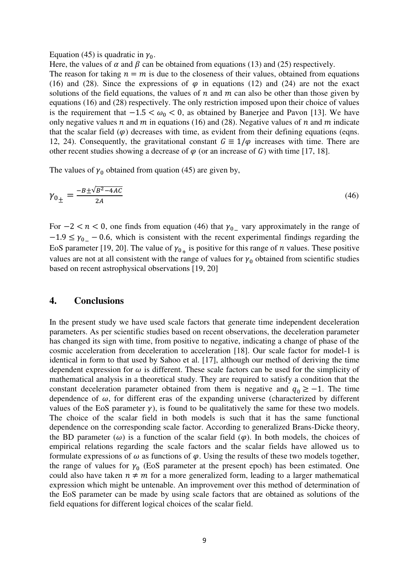#### Equation (45) is quadratic in  $\gamma_0$ .

Here, the values of  $\alpha$  and  $\beta$  can be obtained from equations (13) and (25) respectively.

The reason for taking  $n = m$  is due to the closeness of their values, obtained from equations (16) and (28). Since the expressions of  $\varphi$  in equations (12) and (24) are not the exact solutions of the field equations, the values of  $n$  and  $m$  can also be other than those given by equations (16) and (28) respectively. The only restriction imposed upon their choice of values is the requirement that  $-1.5 < \omega_0 < 0$ , as obtained by Banerjee and Pavon [13]. We have only negative values  $n$  and  $m$  in equations (16) and (28). Negative values of  $n$  and  $m$  indicate that the scalar field  $(\varphi)$  decreases with time, as evident from their defining equations (eqns. 12, 24). Consequently, the gravitational constant  $G = 1/\varphi$  increases with time. There are other recent studies showing a decrease of  $\varphi$  (or an increase of G) with time [17, 18].

The values of  $\gamma_0$  obtained from quation (45) are given by,

$$
\gamma_{0\pm} = \frac{-B \pm \sqrt{B^2 - 4AC}}{2A} \tag{46}
$$

For  $-2 < n < 0$ , one finds from equation (46) that  $\gamma_{0}$  vary approximately in the range of  $-1.9 \leq \gamma_{0-} - 0.6$ , which is consistent with the recent experimental findings regarding the EoS parameter [19, 20]. The value of  $\gamma_{0+}$  is positive for this range of *n* values. These positive values are not at all consistent with the range of values for  $\gamma_0$  obtained from scientific studies based on recent astrophysical observations [19, 20]

#### **4. Conclusions**

In the present study we have used scale factors that generate time independent deceleration parameters. As per scientific studies based on recent observations, the deceleration parameter has changed its sign with time, from positive to negative, indicating a change of phase of the cosmic acceleration from deceleration to acceleration [18]. Our scale factor for model-1 is identical in form to that used by Sahoo et al. [17], although our method of deriving the time dependent expression for  $\omega$  is different. These scale factors can be used for the simplicity of mathematical analysis in a theoretical study. They are required to satisfy a condition that the constant deceleration parameter obtained from them is negative and  $q_0 \ge -1$ . The time dependence of  $\omega$ , for different eras of the expanding universe (characterized by different values of the EoS parameter  $\gamma$ ), is found to be qualitatively the same for these two models. The choice of the scalar field in both models is such that it has the same functional dependence on the corresponding scale factor. According to generalized Brans-Dicke theory, the BD parameter ( $\omega$ ) is a function of the scalar field ( $\varphi$ ). In both models, the choices of empirical relations regarding the scale factors and the scalar fields have allowed us to formulate expressions of  $\omega$  as functions of  $\varphi$ . Using the results of these two models together, the range of values for  $\gamma_0$  (EoS parameter at the present epoch) has been estimated. One could also have taken  $n \neq m$  for a more generalized form, leading to a larger mathematical expression which might be untenable. An improvement over this method of determination of the EoS parameter can be made by using scale factors that are obtained as solutions of the field equations for different logical choices of the scalar field.